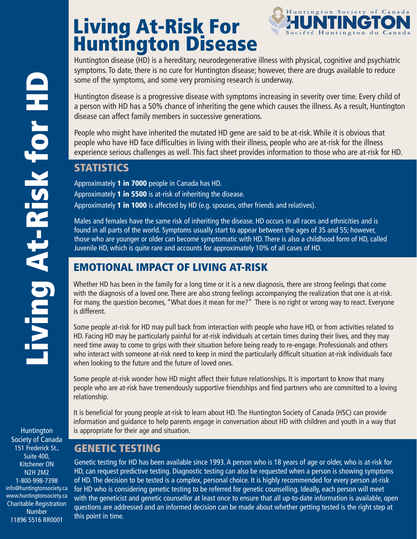# Living At-Risk For Huntington Disease



Huntington disease (HD) is a hereditary, neurodegenerative illness with physical, cognitive and psychiatric symptoms. To date, there is no cure for Huntington disease; however, there are drugs available to reduce some of the symptoms, and some very promising research is underway.

Huntington disease is a progressive disease with symptoms increasing in severity over time. Every child of a person with HD has a 50% chance of inheriting the gene which causes the illness. As a result, Huntington disease can affect family members in successive generations.

People who might have inherited the mutated HD gene are said to be at-risk. While it is obvious that people who have HD face difficulties in living with their illness, people who are at-risk for the illness experience serious challenges as well. This fact sheet provides information to those who are at-risk for HD.

## **STATISTICS**

Approximately 1 in 7000 people in Canada has HD. Approximately 1 in 5500 is at-risk of inheriting the disease. Approximately 1 in 1000 is affected by HD (e.g. spouses, other friends and relatives).

Males and females have the same risk of inheriting the disease. HD occurs in all races and ethnicities and is found in all parts of the world. Symptoms usually start to appear between the ages of 35 and 55; however, those who are younger or older can become symptomatic with HD. There is also a childhood form of HD, called Juvenile HD, which is quite rare and accounts for approximately 10% of all cases of HD.

## EMOTIONAL IMPACT OF LIVING AT-RISK

Whether HD has been in the family for a long time or it is a new diagnosis, there are strong feelings that come with the diagnosis of a loved one. There are also strong feelings accompanying the realization that one is at-risk. For many, the question becomes, "What does it mean for me?" There is no right or wrong way to react. Everyone is different.

Some people at-risk for HD may pull back from interaction with people who have HD, or from activities related to HD. Facing HD may be particularly painful for at-risk individuals at certain times during their lives, and they may need time away to come to grips with their situation before being ready to re-engage. Professionals and others who interact with someone at-risk need to keep in mind the particularly difficult situation at-risk individuals face when looking to the future and the future of loved ones.

Some people at-risk wonder how HD might affect their future relationships. It is important to know that many people who are at-risk have tremendously supportive friendships and find partners who are committed to a loving relationship.

It is beneficial for young people at-risk to learn about HD. The Huntington Society of Canada (HSC) can provide information and guidance to help parents engage in conversation about HD with children and youth in a way that Huntington is appropriate for their age and situation.

## GENETIC TESTING

Genetic testing for HD has been available since 1993. A person who is 18 years of age or older, who is at-risk for HD, can request predictive testing. Diagnostic testing can also be requested when a person is showing symptoms of HD. The decision to be tested is a complex, personal choice. It is highly recommended for every person at-risk for HD who is considering genetic testing to be referred for genetic counselling. Ideally, each person will meet with the geneticist and genetic counsellor at least once to ensure that all up-to-date information is available, open questions are addressed and an informed decision can be made about whether getting tested is the right step at this point in time.

Society of Canada 151 Frederick St., Suite 400, Kitchener ON N2H 2M2 1-800-998-7398 info@huntingtonsociety.ca www.huntingtonsociety.ca Charitable Registration Number 11896 5516 RR0001